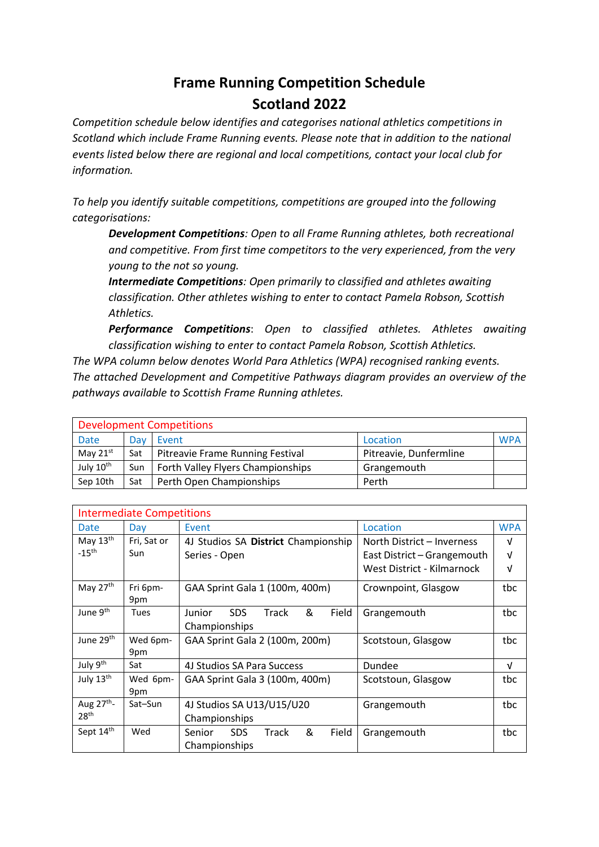## **Frame Running Competition Schedule**

## **Scotland 2022**

*Competition schedule below identifies and categorises national athletics competitions in Scotland which include Frame Running events. Please note that in addition to the national events listed below there are regional and local competitions, contact your local club for information.*

*To help you identify suitable competitions, competitions are grouped into the following categorisations:*

*Development Competitions: Open to all Frame Running athletes, both recreational and competitive. From first time competitors to the very experienced, from the very young to the not so young.*

*Intermediate Competitions: Open primarily to classified and athletes awaiting classification. Other athletes wishing to enter to contact Pamela Robson, Scottish Athletics.*

*Performance Competitions*: *Open to classified athletes. Athletes awaiting classification wishing to enter to contact Pamela Robson, Scottish Athletics.*

*The WPA column below denotes World Para Athletics (WPA) recognised ranking events. The attached Development and Competitive Pathways diagram provides an overview of the pathways available to Scottish Frame Running athletes.*

| <b>Development Competitions</b> |     |                                   |                        |            |  |  |
|---------------------------------|-----|-----------------------------------|------------------------|------------|--|--|
| Date                            | Dav | Event                             | Location               | <b>WPA</b> |  |  |
| May $21^{st}$                   | Sat | Pitreavie Frame Running Festival  | Pitreavie, Dunfermline |            |  |  |
| July 10th                       | Sun | Forth Valley Flyers Championships | Grangemouth            |            |  |  |
| Sep 10th                        | Sat | Perth Open Championships          | Perth                  |            |  |  |

| <b>Intermediate Competitions</b> |             |                                       |                             |            |  |  |
|----------------------------------|-------------|---------------------------------------|-----------------------------|------------|--|--|
| Date                             | Day         | Event                                 | Location                    | <b>WPA</b> |  |  |
| May $13th$                       | Fri, Sat or | 4J Studios SA District Championship   | North District - Inverness  | V          |  |  |
| $-15$ <sup>th</sup>              | Sun         | Series - Open                         | East District – Grangemouth | $\sqrt{ }$ |  |  |
|                                  |             |                                       | West District - Kilmarnock  | v          |  |  |
| May 27th                         | Fri 6pm-    | GAA Sprint Gala 1 (100m, 400m)        | Crownpoint, Glasgow         | tbc        |  |  |
|                                  | 9pm         |                                       |                             |            |  |  |
| June 9 <sup>th</sup>             | Tues        | &<br>SDS.<br>Track<br>Field<br>Junior | Grangemouth                 | tbc        |  |  |
|                                  |             | Championships                         |                             |            |  |  |
| June 29 <sup>th</sup>            | Wed 6pm-    | GAA Sprint Gala 2 (100m, 200m)        | Scotstoun, Glasgow          | tbc        |  |  |
|                                  | 9pm         |                                       |                             |            |  |  |
| July 9 <sup>th</sup>             | Sat         | 4J Studios SA Para Success            | Dundee                      | V          |  |  |
| July 13th                        | Wed 6pm-    | GAA Sprint Gala 3 (100m, 400m)        | Scotstoun, Glasgow          | tbc        |  |  |
|                                  | 9pm         |                                       |                             |            |  |  |
| Aug 27 <sup>th</sup> -           | Sat-Sun     | 4J Studios SA U13/U15/U20             | Grangemouth                 | tbc        |  |  |
| 28 <sup>th</sup>                 |             | Championships                         |                             |            |  |  |
| Sept 14th                        | Wed         | &<br>Field<br>SDS.<br>Senior<br>Track | Grangemouth                 | tbc        |  |  |
|                                  |             | Championships                         |                             |            |  |  |